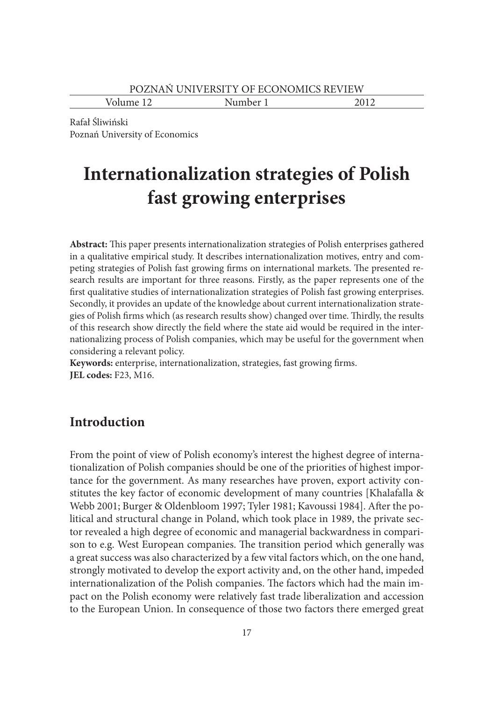Volume 12 Number 1 2012

Rafał Śliwiński Poznań University of Economics

# **Internationalization strategies of Polish fast growing enterprises**

**Abstract:** This paper presents internationalization strategies of Polish enterprises gathered in a qualitative empirical study. It describes internationalization motives, entry and competing strategies of Polish fast growing firms on international markets. The presented research results are important for three reasons. Firstly, as the paper represents one of the first qualitative studies of internationalization strategies of Polish fast growing enterprises. Secondly, it provides an update of the knowledge about current internationalization strategies of Polish firms which (as research results show) changed over time. Thirdly, the results of this research show directly the field where the state aid would be required in the internationalizing process of Polish companies, which may be useful for the government when considering a relevant policy.

**Keywords:** enterprise, internationalization, strategies, fast growing firms. **JEL codes:** F23, M16.

# **Introduction**

From the point of view of Polish economy's interest the highest degree of internationalization of Polish companies should be one of the priorities of highest importance for the government. As many researches have proven, export activity constitutes the key factor of economic development of many countries [Khalafalla & Webb 2001; Burger & Oldenbloom 1997; Tyler 1981; Kavoussi 1984]. After the political and structural change in Poland, which took place in 1989, the private sector revealed a high degree of economic and managerial backwardness in comparison to e.g. West European companies. The transition period which generally was a great success was also characterized by a few vital factors which, on the one hand, strongly motivated to develop the export activity and, on the other hand, impeded internationalization of the Polish companies. The factors which had the main impact on the Polish economy were relatively fast trade liberalization and accession to the European Union. In consequence of those two factors there emerged great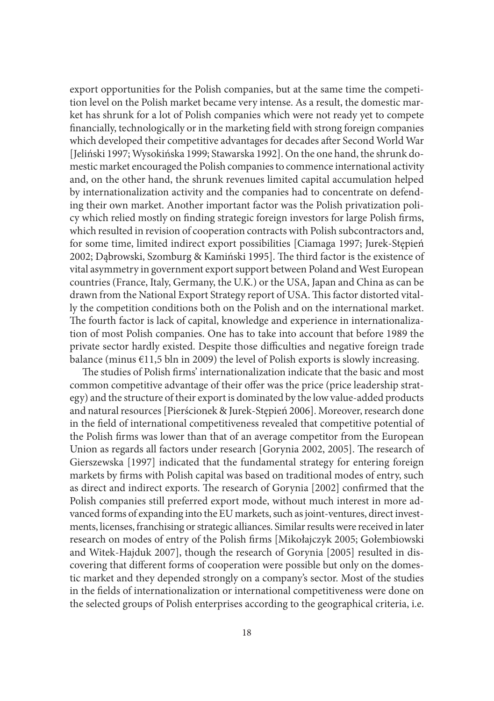export opportunities for the Polish companies, but at the same time the competition level on the Polish market became very intense. As a result, the domestic market has shrunk for a lot of Polish companies which were not ready yet to compete financially, technologically or in the marketing field with strong foreign companies which developed their competitive advantages for decades after Second World War [Jeliński 1997; Wysokińska 1999; Stawarska 1992]. On the one hand, the shrunk domestic market encouraged the Polish companies to commence international activity and, on the other hand, the shrunk revenues limited capital accumulation helped by internationalization activity and the companies had to concentrate on defending their own market. Another important factor was the Polish privatization policy which relied mostly on finding strategic foreign investors for large Polish firms, which resulted in revision of cooperation contracts with Polish subcontractors and, for some time, limited indirect export possibilities [Ciamaga 1997; Jurek-Stępień 2002; Dąbrowski, Szomburg & Kamiński 1995]. The third factor is the existence of vital asymmetry in government export support between Poland and West European countries (France, Italy, Germany, the U.K.) or the USA, Japan and China as can be drawn from the National Export Strategy report of USA. This factor distorted vitally the competition conditions both on the Polish and on the international market. The fourth factor is lack of capital, knowledge and experience in internationalization of most Polish companies. One has to take into account that before 1989 the private sector hardly existed. Despite those difficulties and negative foreign trade balance (minus €11,5 bln in 2009) the level of Polish exports is slowly increasing.

The studies of Polish firms' internationalization indicate that the basic and most common competitive advantage of their offer was the price (price leadership strategy) and the structure of their export is dominated by the low value-added products and natural resources [Pierścionek & Jurek-Stępień 2006]. Moreover, research done in the field of international competitiveness revealed that competitive potential of the Polish firms was lower than that of an average competitor from the European Union as regards all factors under research [Gorynia 2002, 2005]. The research of Gierszewska [1997] indicated that the fundamental strategy for entering foreign markets by firms with Polish capital was based on traditional modes of entry, such as direct and indirect exports. The research of Gorynia [2002] confirmed that the Polish companies still preferred export mode, without much interest in more advanced forms of expanding into the EU markets, such as joint-ventures, direct investments, licenses, franchising or strategic alliances. Similar results were received in later research on modes of entry of the Polish firms [Mikołajczyk 2005; Gołembiowski and Witek-Hajduk 2007], though the research of Gorynia [2005] resulted in discovering that different forms of cooperation were possible but only on the domestic market and they depended strongly on a company's sector. Most of the studies in the fields of internationalization or international competitiveness were done on the selected groups of Polish enterprises according to the geographical criteria, i.e.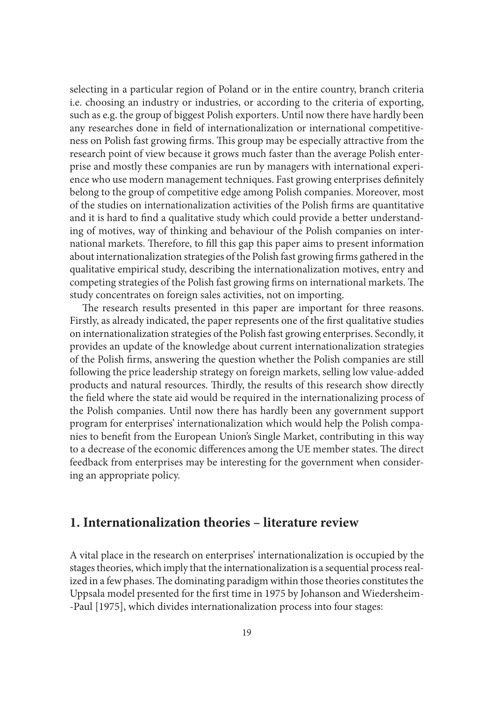selecting in a particular region of Poland or in the entire country, branch criteria i.e. choosing an industry or industries, or according to the criteria of exporting, such as e.g. the group of biggest Polish exporters. Until now there have hardly been any researches done in field of internationalization or international competitiveness on Polish fast growing firms. This group may be especially attractive from the research point of view because it grows much faster than the average Polish enterprise and mostly these companies are run by managers with international experience who use modern management techniques. Fast growing enterprises definitely belong to the group of competitive edge among Polish companies. Moreover, most of the studies on internationalization activities of the Polish firms are quantitative and it is hard to find a qualitative study which could provide a better understanding of motives, way of thinking and behaviour of the Polish companies on international markets. Therefore, to fill this gap this paper aims to present information about internationalization strategies of the Polish fast growing firms gathered in the qualitative empirical study, describing the internationalization motives, entry and competing strategies of the Polish fast growing firms on international markets. The study concentrates on foreign sales activities, not on importing.

The research results presented in this paper are important for three reasons. Firstly, as already indicated, the paper represents one of the first qualitative studies on internationalization strategies of the Polish fast growing enterprises. Secondly, it provides an update of the knowledge about current internationalization strategies of the Polish firms, answering the question whether the Polish companies are still following the price leadership strategy on foreign markets, selling low value-added products and natural resources. Thirdly, the results of this research show directly the field where the state aid would be required in the internationalizing process of the Polish companies. Until now there has hardly been any government support program for enterprises' internationalization which would help the Polish companies to benefit from the European Union's Single Market, contributing in this way to a decrease of the economic differences among the UE member states. The direct feedback from enterprises may be interesting for the government when considering an appropriate policy.

## **1. Internationalization theories – literature review**

A vital place in the research on enterprises' internationalization is occupied by the stages theories, which imply that the internationalization is a sequential process realized in a few phases. The dominating paradigm within those theories constitutes the Uppsala model presented for the first time in 1975 by Johanson and Wiedersheim- -Paul [1975], which divides internationalization process into four stages: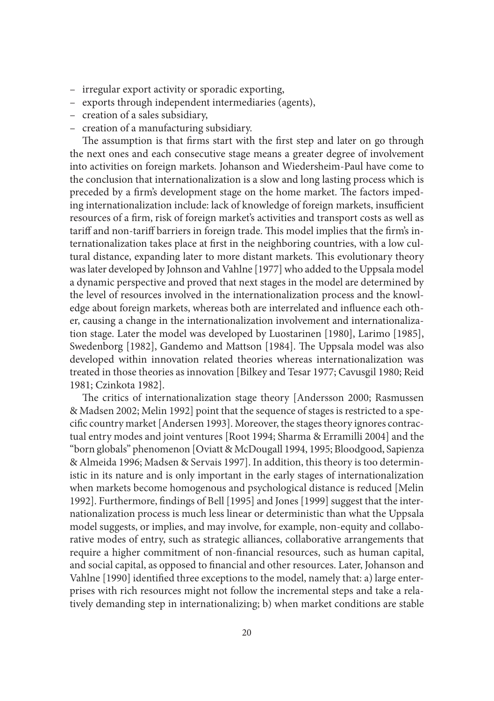- irregular export activity or sporadic exporting,
- exports through independent intermediaries (agents),
- creation of a sales subsidiary,
- creation of a manufacturing subsidiary.

The assumption is that firms start with the first step and later on go through the next ones and each consecutive stage means a greater degree of involvement into activities on foreign markets. Johanson and Wiedersheim-Paul have come to the conclusion that internationalization is a slow and long lasting process which is preceded by a firm's development stage on the home market. The factors impeding internationalization include: lack of knowledge of foreign markets, insufficient resources of a firm, risk of foreign market's activities and transport costs as well as tariff and non-tariff barriers in foreign trade. This model implies that the firm's internationalization takes place at first in the neighboring countries, with a low cultural distance, expanding later to more distant markets. This evolutionary theory was later developed by Johnson and Vahlne [1977] who added to the Uppsala model a dynamic perspective and proved that next stages in the model are determined by the level of resources involved in the internationalization process and the knowledge about foreign markets, whereas both are interrelated and influence each other, causing a change in the internationalization involvement and internationalization stage. Later the model was developed by Luostarinen [1980], Larimo [1985], Swedenborg [1982], Gandemo and Mattson [1984]. The Uppsala model was also developed within innovation related theories whereas internationalization was treated in those theories as innovation [Bilkey and Tesar 1977; Cavusgil 1980; Reid 1981; Czinkota 1982].

The critics of internationalization stage theory [Andersson 2000; Rasmussen & Madsen 2002; Melin 1992] point that the sequence of stages is restricted to a specific country market [Andersen 1993]. Moreover, the stages theory ignores contractual entry modes and joint ventures [Root 1994; Sharma & Erramilli 2004] and the "born globals" phenomenon [Oviatt & McDougall 1994, 1995; Bloodgood, Sapienza & Almeida 1996; Madsen & Servais 1997]. In addition, this theory is too deterministic in its nature and is only important in the early stages of internationalization when markets become homogenous and psychological distance is reduced [Melin 1992]. Furthermore, findings of Bell [1995] and Jones [1999] suggest that the internationalization process is much less linear or deterministic than what the Uppsala model suggests, or implies, and may involve, for example, non-equity and collaborative modes of entry, such as strategic alliances, collaborative arrangements that require a higher commitment of non-financial resources, such as human capital, and social capital, as opposed to financial and other resources. Later, Johanson and Vahlne [1990] identified three exceptions to the model, namely that: a) large enterprises with rich resources might not follow the incremental steps and take a relatively demanding step in internationalizing; b) when market conditions are stable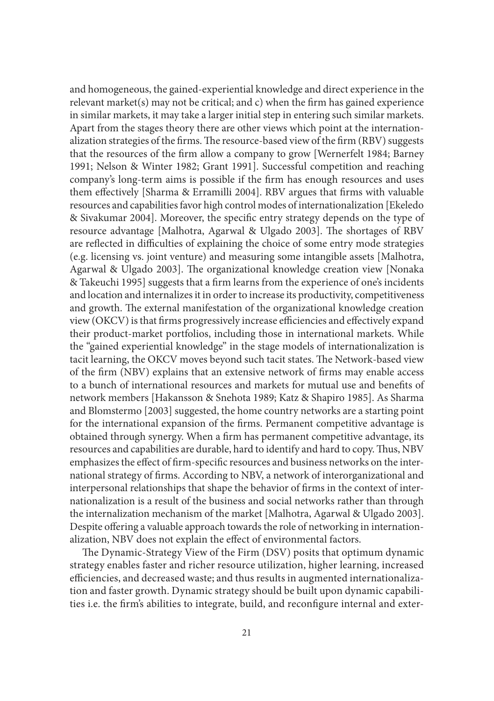and homogeneous, the gained-experiential knowledge and direct experience in the relevant market(s) may not be critical; and c) when the firm has gained experience in similar markets, it may take a larger initial step in entering such similar markets. Apart from the stages theory there are other views which point at the internationalization strategies of the firms. The resource-based view of the firm (RBV) suggests that the resources of the firm allow a company to grow [Wernerfelt 1984; Barney 1991; Nelson & Winter 1982; Grant 1991]. Successful competition and reaching company's long-term aims is possible if the firm has enough resources and uses them effectively [Sharma & Erramilli 2004]. RBV argues that firms with valuable resources and capabilities favor high control modes of internationalization [Ekeledo & Sivakumar 2004]. Moreover, the specific entry strategy depends on the type of resource advantage [Malhotra, Agarwal & Ulgado 2003]. The shortages of RBV are reflected in difficulties of explaining the choice of some entry mode strategies (e.g. licensing vs. joint venture) and measuring some intangible assets [Malhotra, Agarwal & Ulgado 2003]. The organizational knowledge creation view [Nonaka & Takeuchi 1995] suggests that a firm learns from the experience of one's incidents and location and internalizes it in order to increase its productivity, competitiveness and growth. The external manifestation of the organizational knowledge creation view (OKCV) is that firms progressively increase efficiencies and effectively expand their product-market portfolios, including those in international markets. While the "gained experiential knowledge" in the stage models of internationalization is tacit learning, the OKCV moves beyond such tacit states. The Network-based view of the firm (NBV) explains that an extensive network of firms may enable access to a bunch of international resources and markets for mutual use and benefits of network members [Hakansson & Snehota 1989; Katz & Shapiro 1985]. As Sharma and Blomstermo [2003] suggested, the home country networks are a starting point for the international expansion of the firms. Permanent competitive advantage is obtained through synergy. When a firm has permanent competitive advantage, its resources and capabilities are durable, hard to identify and hard to copy. Thus, NBV emphasizes the effect of firm-specific resources and business networks on the international strategy of firms. According to NBV, a network of interorganizational and interpersonal relationships that shape the behavior of firms in the context of internationalization is a result of the business and social networks rather than through the internalization mechanism of the market [Malhotra, Agarwal & Ulgado 2003]. Despite offering a valuable approach towards the role of networking in internationalization, NBV does not explain the effect of environmental factors.

The Dynamic-Strategy View of the Firm (DSV) posits that optimum dynamic strategy enables faster and richer resource utilization, higher learning, increased efficiencies, and decreased waste; and thus results in augmented internationalization and faster growth. Dynamic strategy should be built upon dynamic capabilities i.e. the firm's abilities to integrate, build, and reconfigure internal and exter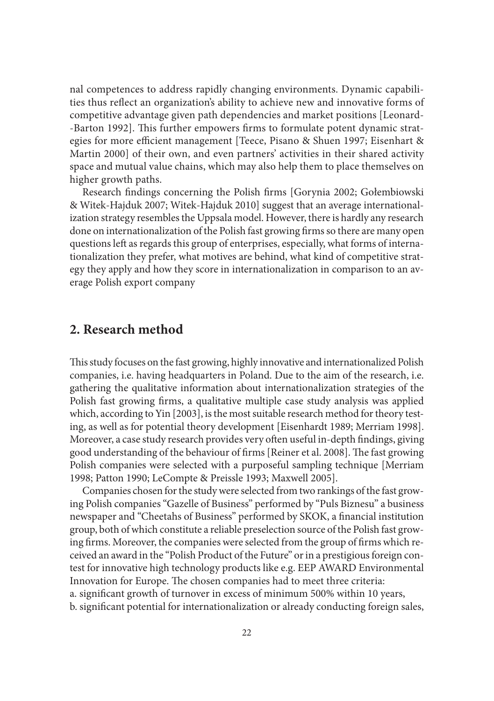nal competences to address rapidly changing environments. Dynamic capabilities thus reflect an organization's ability to achieve new and innovative forms of competitive advantage given path dependencies and market positions [Leonard- -Barton 1992]. This further empowers firms to formulate potent dynamic strategies for more efficient management [Teece, Pisano & Shuen 1997; Eisenhart & Martin 2000] of their own, and even partners' activities in their shared activity space and mutual value chains, which may also help them to place themselves on higher growth paths.

Research findings concerning the Polish firms [Gorynia 2002; Gołembiowski & Witek-Hajduk 2007; Witek-Hajduk 2010] suggest that an average internationalization strategy resembles the Uppsala model. However, there is hardly any research done on internationalization of the Polish fast growing firms so there are many open questions left as regards this group of enterprises, especially, what forms of internationalization they prefer, what motives are behind, what kind of competitive strategy they apply and how they score in internationalization in comparison to an average Polish export company

#### **2. Research method**

This study focuses on the fast growing, highly innovative and internationalized Polish companies, i.e. having headquarters in Poland. Due to the aim of the research, i.e. gathering the qualitative information about internationalization strategies of the Polish fast growing firms, a qualitative multiple case study analysis was applied which, according to Yin [2003], is the most suitable research method for theory testing, as well as for potential theory development [Eisenhardt 1989; Merriam 1998]. Moreover, a case study research provides very often useful in-depth findings, giving good understanding of the behaviour of firms [Reiner et al. 2008]. The fast growing Polish companies were selected with a purposeful sampling technique [Merriam 1998; Patton 1990; LeCompte & Preissle 1993; Maxwell 2005].

Companies chosen for the study were selected from two rankings of the fast growing Polish companies "Gazelle of Business" performed by "Puls Biznesu" a business newspaper and "Cheetahs of Business" performed by SKOK, a financial institution group, both of which constitute a reliable preselection source of the Polish fast growing firms. Moreover, the companies were selected from the group of firms which received an award in the "Polish Product of the Future" or in a prestigious foreign contest for innovative high technology products like e.g. EEP AWARD Environmental Innovation for Europe. The chosen companies had to meet three criteria: a. significant growth of turnover in excess of minimum 500% within 10 years,

b. significant potential for internationalization or already conducting foreign sales,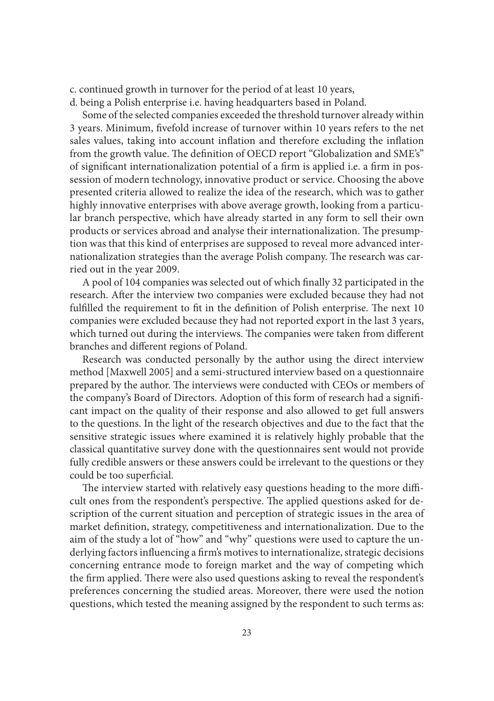c. continued growth in turnover for the period of at least 10 years,

d. being a Polish enterprise i.e. having headquarters based in Poland.

Some of the selected companies exceeded the threshold turnover already within 3 years. Minimum, fivefold increase of turnover within 10 years refers to the net sales values, taking into account inflation and therefore excluding the inflation from the growth value. The definition of OECD report "Globalization and SME's" of significant internationalization potential of a firm is applied i.e. a firm in possession of modern technology, innovative product or service. Choosing the above presented criteria allowed to realize the idea of the research, which was to gather highly innovative enterprises with above average growth, looking from a particular branch perspective, which have already started in any form to sell their own products or services abroad and analyse their internationalization. The presumption was that this kind of enterprises are supposed to reveal more advanced internationalization strategies than the average Polish company. The research was carried out in the year 2009.

A pool of 104 companies was selected out of which finally 32 participated in the research. After the interview two companies were excluded because they had not fulfilled the requirement to fit in the definition of Polish enterprise. The next 10 companies were excluded because they had not reported export in the last 3 years, which turned out during the interviews. The companies were taken from different branches and different regions of Poland.

Research was conducted personally by the author using the direct interview method [Maxwell 2005] and a semi-structured interview based on a questionnaire prepared by the author. The interviews were conducted with CEOs or members of the company's Board of Directors. Adoption of this form of research had a significant impact on the quality of their response and also allowed to get full answers to the questions. In the light of the research objectives and due to the fact that the sensitive strategic issues where examined it is relatively highly probable that the classical quantitative survey done with the questionnaires sent would not provide fully credible answers or these answers could be irrelevant to the questions or they could be too superficial.

The interview started with relatively easy questions heading to the more difficult ones from the respondent's perspective. The applied questions asked for description of the current situation and perception of strategic issues in the area of market definition, strategy, competitiveness and internationalization. Due to the aim of the study a lot of "how" and "why" questions were used to capture the underlying factors influencing a firm's motives to internationalize, strategic decisions concerning entrance mode to foreign market and the way of competing which the firm applied. There were also used questions asking to reveal the respondent's preferences concerning the studied areas. Moreover, there were used the notion questions, which tested the meaning assigned by the respondent to such terms as: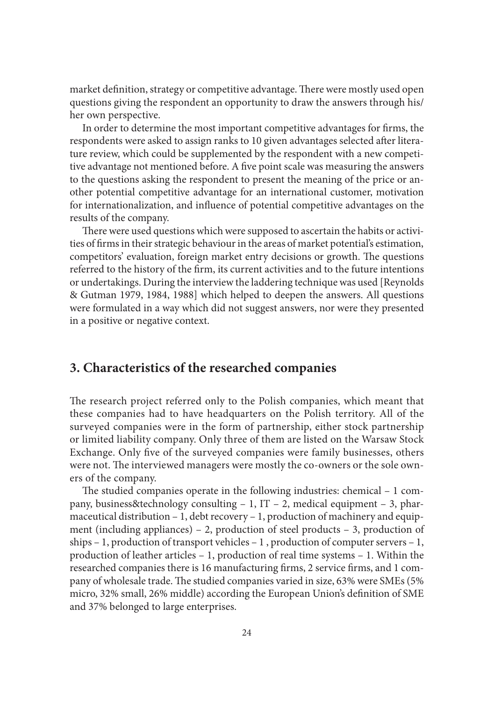market definition, strategy or competitive advantage. There were mostly used open questions giving the respondent an opportunity to draw the answers through his/ her own perspective.

In order to determine the most important competitive advantages for firms, the respondents were asked to assign ranks to 10 given advantages selected after literature review, which could be supplemented by the respondent with a new competitive advantage not mentioned before. A five point scale was measuring the answers to the questions asking the respondent to present the meaning of the price or another potential competitive advantage for an international customer, motivation for internationalization, and influence of potential competitive advantages on the results of the company.

There were used questions which were supposed to ascertain the habits or activities of firms in their strategic behaviour in the areas of market potential's estimation, competitors' evaluation, foreign market entry decisions or growth. The questions referred to the history of the firm, its current activities and to the future intentions or undertakings. During the interview the laddering technique was used [Reynolds & Gutman 1979, 1984, 1988] which helped to deepen the answers. All questions were formulated in a way which did not suggest answers, nor were they presented in a positive or negative context.

## **3. Characteristics of the researched companies**

The research project referred only to the Polish companies, which meant that these companies had to have headquarters on the Polish territory. All of the surveyed companies were in the form of partnership, either stock partnership or limited liability company. Only three of them are listed on the Warsaw Stock Exchange. Only five of the surveyed companies were family businesses, others were not. The interviewed managers were mostly the co-owners or the sole owners of the company.

The studied companies operate in the following industries: chemical – 1 company, business&technology consulting – 1, IT – 2, medical equipment – 3, pharmaceutical distribution – 1, debt recovery – 1, production of machinery and equipment (including appliances) – 2, production of steel products – 3, production of ships – 1, production of transport vehicles – 1 , production of computer servers – 1, production of leather articles – 1, production of real time systems – 1. Within the researched companies there is 16 manufacturing firms, 2 service firms, and 1 company of wholesale trade. The studied companies varied in size, 63% were SMEs (5% micro, 32% small, 26% middle) according the European Union's definition of SME and 37% belonged to large enterprises.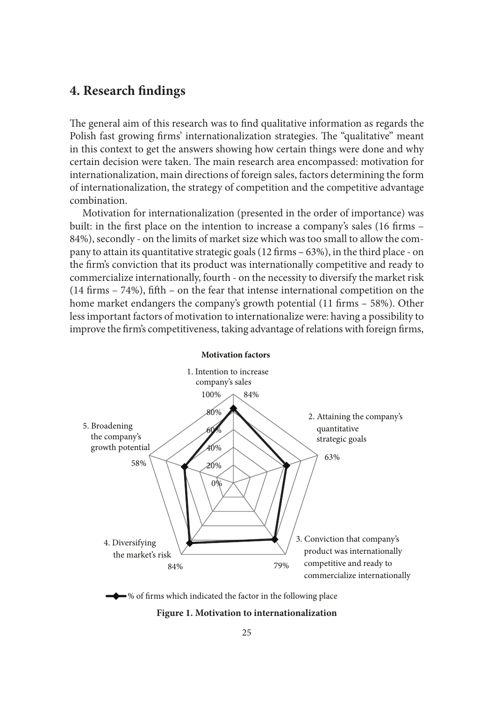# **4. Research findings**

The general aim of this research was to find qualitative information as regards the Polish fast growing firms' internationalization strategies. The "qualitative" meant in this context to get the answers showing how certain things were done and why certain decision were taken. The main research area encompassed: motivation for internationalization, main directions of foreign sales, factors determining the form of internationalization, the strategy of competition and the competitive advantage combination.

Motivation for internationalization (presented in the order of importance) was built: in the first place on the intention to increase a company's sales (16 firms – 84%), secondly - on the limits of market size which was too small to allow the company to attain its quantitative strategic goals (12 firms – 63%), in the third place - on the firm's conviction that its product was internationally competitive and ready to commercialize internationally, fourth - on the necessity to diversify the market risk (14 firms – 74%), fifth – on the fear that intense international competition on the home market endangers the company's growth potential (11 firms – 58%). Other less important factors of motivation to internationalize were: having a possibility to improve the firm's competitiveness, taking advantage of relations with foreign firms,





#### **Figure 1. Motivation to internationalization**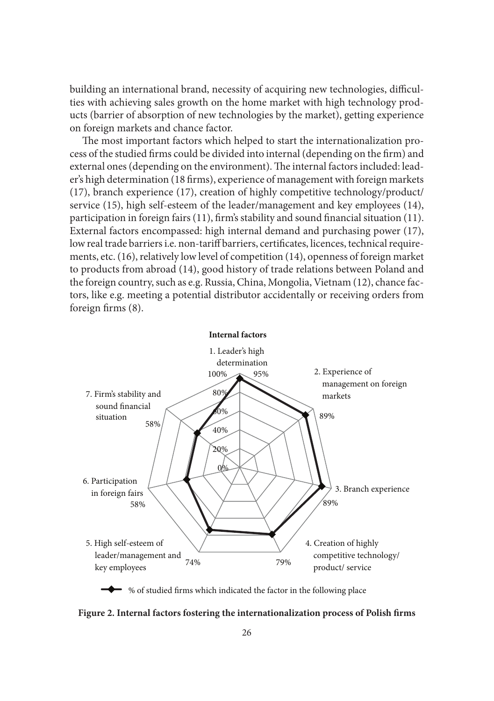building an international brand, necessity of acquiring new technologies, difficulties with achieving sales growth on the home market with high technology products (barrier of absorption of new technologies by the market), getting experience on foreign markets and chance factor.

The most important factors which helped to start the internationalization process of the studied firms could be divided into internal (depending on the firm) and external ones (depending on the environment). The internal factors included: leader's high determination (18 firms), experience of management with foreign markets (17), branch experience (17), creation of highly competitive technology/product/ service (15), high self-esteem of the leader/management and key employees (14), participation in foreign fairs (11), firm's stability and sound financial situation (11). External factors encompassed: high internal demand and purchasing power (17), low real trade barriers i.e. non-tariff barriers, certificates, licences, technical requirements, etc. (16), relatively low level of competition (14), openness of foreign market to products from abroad (14), good history of trade relations between Poland and the foreign country, such as e.g. Russia, China, Mongolia, Vietnam (12), chance factors, like e.g. meeting a potential distributor accidentally or receiving orders from foreign firms (8).



 $\blacktriangleright$  % of studied firms which indicated the factor in the following place

**Figure 2. Internal factors fostering the internationalization process of Polish firms**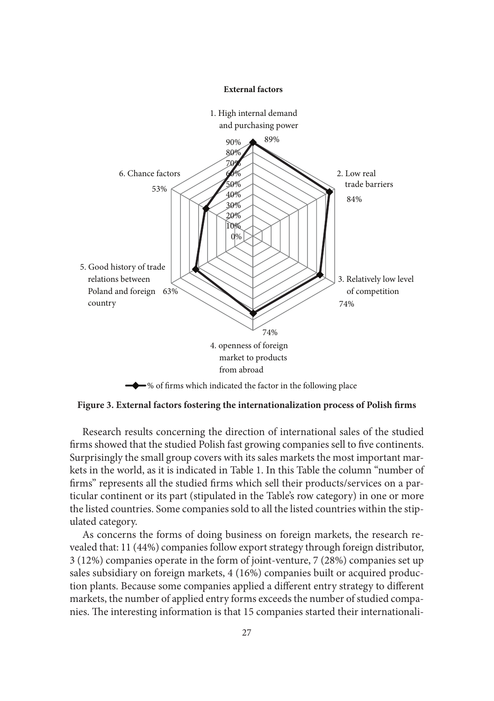

**Figure 3. External factors fostering the internationalization process of Polish firms**

Research results concerning the direction of international sales of the studied firms showed that the studied Polish fast growing companies sell to five continents. Surprisingly the small group covers with its sales markets the most important markets in the world, as it is indicated in Table 1. In this Table the column "number of firms" represents all the studied firms which sell their products/services on a particular continent or its part (stipulated in the Table's row category) in one or more the listed countries. Some companies sold to all the listed countries within the stipulated category.

As concerns the forms of doing business on foreign markets, the research revealed that: 11 (44%) companies follow export strategy through foreign distributor, 3 (12%) companies operate in the form of joint-venture, 7 (28%) companies set up sales subsidiary on foreign markets, 4 (16%) companies built or acquired production plants. Because some companies applied a different entry strategy to different markets, the number of applied entry forms exceeds the number of studied companies. The interesting information is that 15 companies started their internationali-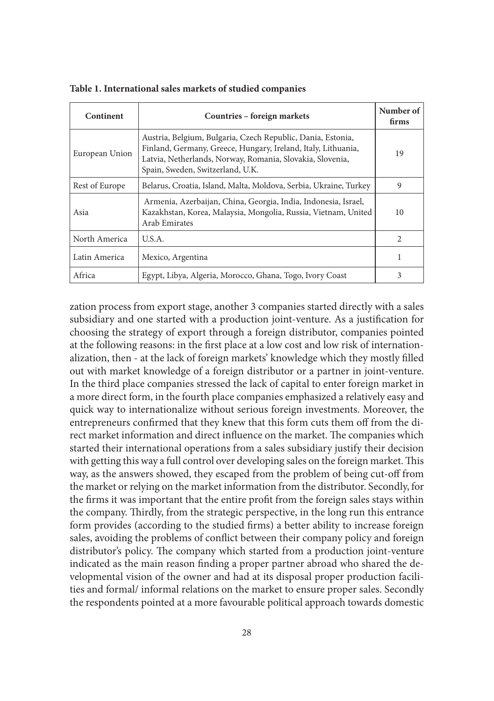| Continent      | Countries – foreign markets                                                                                                                                                                                                   | Number of<br>firms |
|----------------|-------------------------------------------------------------------------------------------------------------------------------------------------------------------------------------------------------------------------------|--------------------|
| European Union | Austria, Belgium, Bulgaria, Czech Republic, Dania, Estonia,<br>Finland, Germany, Greece, Hungary, Ireland, Italy, Lithuania,<br>Latvia, Netherlands, Norway, Romania, Slovakia, Slovenia,<br>Spain, Sweden, Switzerland, U.K. | 19                 |
| Rest of Europe | Belarus, Croatia, Island, Malta, Moldova, Serbia, Ukraine, Turkey                                                                                                                                                             | 9                  |
| Asia           | Armenia, Azerbaijan, China, Georgia, India, Indonesia, Israel,<br>Kazakhstan, Korea, Malaysia, Mongolia, Russia, Vietnam, United<br>Arab Emirates                                                                             |                    |
| North America  | U.S.A.                                                                                                                                                                                                                        | $\mathfrak{D}$     |
| Latin America  | Mexico, Argentina                                                                                                                                                                                                             |                    |
| Africa         | Egypt, Libya, Algeria, Morocco, Ghana, Togo, Ivory Coast                                                                                                                                                                      | 3                  |

**Table 1. International sales markets of studied companies**

zation process from export stage, another 3 companies started directly with a sales subsidiary and one started with a production joint-venture. As a justification for choosing the strategy of export through a foreign distributor, companies pointed at the following reasons: in the first place at a low cost and low risk of internationalization, then - at the lack of foreign markets' knowledge which they mostly filled out with market knowledge of a foreign distributor or a partner in joint-venture. In the third place companies stressed the lack of capital to enter foreign market in a more direct form, in the fourth place companies emphasized a relatively easy and quick way to internationalize without serious foreign investments. Moreover, the entrepreneurs confirmed that they knew that this form cuts them off from the direct market information and direct influence on the market. The companies which started their international operations from a sales subsidiary justify their decision with getting this way a full control over developing sales on the foreign market. This way, as the answers showed, they escaped from the problem of being cut-off from the market or relying on the market information from the distributor. Secondly, for the firms it was important that the entire profit from the foreign sales stays within the company. Thirdly, from the strategic perspective, in the long run this entrance form provides (according to the studied firms) a better ability to increase foreign sales, avoiding the problems of conflict between their company policy and foreign distributor's policy. The company which started from a production joint-venture indicated as the main reason finding a proper partner abroad who shared the developmental vision of the owner and had at its disposal proper production facilities and formal/ informal relations on the market to ensure proper sales. Secondly the respondents pointed at a more favourable political approach towards domestic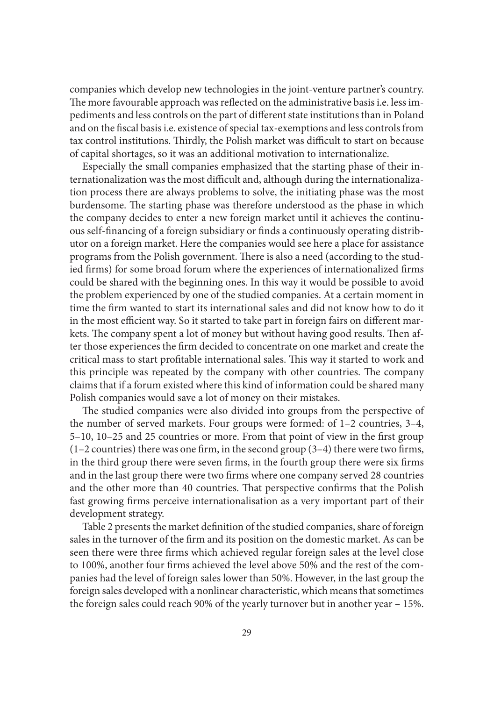companies which develop new technologies in the joint-venture partner's country. The more favourable approach was reflected on the administrative basis i.e. less impediments and less controls on the part of different state institutions than in Poland and on the fiscal basis i.e. existence of special tax-exemptions and less controls from tax control institutions. Thirdly, the Polish market was difficult to start on because of capital shortages, so it was an additional motivation to internationalize.

Especially the small companies emphasized that the starting phase of their internationalization was the most difficult and, although during the internationalization process there are always problems to solve, the initiating phase was the most burdensome. The starting phase was therefore understood as the phase in which the company decides to enter a new foreign market until it achieves the continuous self-financing of a foreign subsidiary or finds a continuously operating distributor on a foreign market. Here the companies would see here a place for assistance programs from the Polish government. There is also a need (according to the studied firms) for some broad forum where the experiences of internationalized firms could be shared with the beginning ones. In this way it would be possible to avoid the problem experienced by one of the studied companies. At a certain moment in time the firm wanted to start its international sales and did not know how to do it in the most efficient way. So it started to take part in foreign fairs on different markets. The company spent a lot of money but without having good results. Then after those experiences the firm decided to concentrate on one market and create the critical mass to start profitable international sales. This way it started to work and this principle was repeated by the company with other countries. The company claims that if a forum existed where this kind of information could be shared many Polish companies would save a lot of money on their mistakes.

The studied companies were also divided into groups from the perspective of the number of served markets. Four groups were formed: of 1–2 countries, 3–4, 5–10, 10–25 and 25 countries or more. From that point of view in the first group (1–2 countries) there was one firm, in the second group (3–4) there were two firms, in the third group there were seven firms, in the fourth group there were six firms and in the last group there were two firms where one company served 28 countries and the other more than 40 countries. That perspective confirms that the Polish fast growing firms perceive internationalisation as a very important part of their development strategy.

Table 2 presents the market definition of the studied companies, share of foreign sales in the turnover of the firm and its position on the domestic market. As can be seen there were three firms which achieved regular foreign sales at the level close to 100%, another four firms achieved the level above 50% and the rest of the companies had the level of foreign sales lower than 50%. However, in the last group the foreign sales developed with a nonlinear characteristic, which means that sometimes the foreign sales could reach 90% of the yearly turnover but in another year – 15%.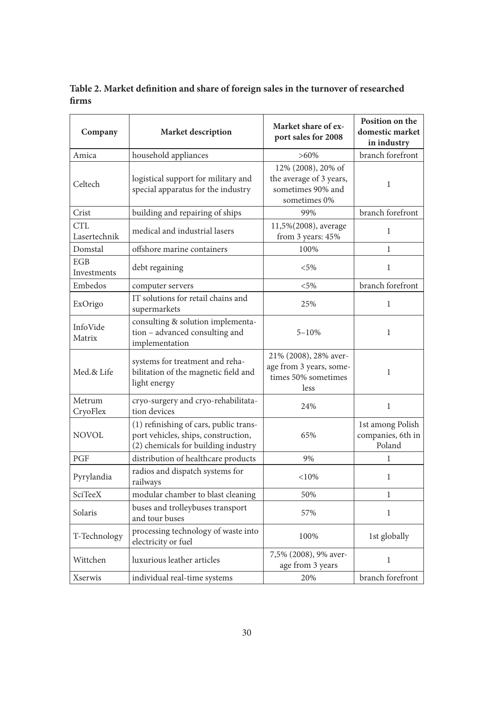**Table 2. Market definition and share of foreign sales in the turnover of researched firms**

| Company                   | Market description                                                                                                   | Market share of ex-<br>port sales for 2008                                         | Position on the<br>domestic market<br>in industry |
|---------------------------|----------------------------------------------------------------------------------------------------------------------|------------------------------------------------------------------------------------|---------------------------------------------------|
| Amica                     | household appliances                                                                                                 | $>60\%$                                                                            | branch forefront                                  |
| Celtech                   | logistical support for military and<br>special apparatus for the industry                                            | 12% (2008), 20% of<br>the average of 3 years,<br>sometimes 90% and<br>sometimes 0% | $\mathbf{1}$                                      |
| Crist                     | building and repairing of ships                                                                                      | 99%                                                                                | branch forefront                                  |
| CTL<br>Lasertechnik       | medical and industrial lasers                                                                                        | 11,5%(2008), average<br>from 3 years: 45%                                          | 1                                                 |
| Domstal                   | offshore marine containers                                                                                           | 100%                                                                               | $\mathbf{1}$                                      |
| <b>EGB</b><br>Investments | debt regaining                                                                                                       | $< 5\%$                                                                            | $\mathbf{1}$                                      |
| Embedos                   | computer servers                                                                                                     | $< 5\%$                                                                            | branch forefront                                  |
| ExOrigo                   | IT solutions for retail chains and<br>supermarkets                                                                   | 25%                                                                                | 1                                                 |
| InfoVide<br>Matrix        | consulting & solution implementa-<br>tion - advanced consulting and<br>implementation                                | $5 - 10%$                                                                          | $\mathbf{1}$                                      |
| Med.& Life                | systems for treatment and reha-<br>bilitation of the magnetic field and<br>light energy                              | 21% (2008), 28% aver-<br>age from 3 years, some-<br>times 50% sometimes<br>less    | $\mathbf{1}$                                      |
| Metrum<br>CryoFlex        | cryo-surgery and cryo-rehabilitata-<br>tion devices                                                                  | 24%                                                                                | $\mathbf{1}$                                      |
| NOVOL                     | (1) refinishing of cars, public trans-<br>port vehicles, ships, construction,<br>(2) chemicals for building industry | 65%                                                                                | 1st among Polish<br>companies, 6th in<br>Poland   |
| PGF                       | distribution of healthcare products                                                                                  | 9%                                                                                 | 1                                                 |
| Pyrylandia                | radios and dispatch systems for<br>railways                                                                          | < 10%                                                                              | $\mathbf{1}$                                      |
| <b>SciTeeX</b>            | modular chamber to blast cleaning                                                                                    | 50%                                                                                | $\mathbf{1}$                                      |
| Solaris                   | buses and trolleybuses transport<br>and tour buses                                                                   | 57%                                                                                | $\mathbf{1}$                                      |
| T-Technology              | processing technology of waste into<br>electricity or fuel                                                           | 100%                                                                               | 1st globally                                      |
| Wittchen                  | luxurious leather articles                                                                                           | 7,5% (2008), 9% aver-<br>age from 3 years                                          | 1                                                 |
| Xserwis                   | individual real-time systems                                                                                         | 20%                                                                                | branch forefront                                  |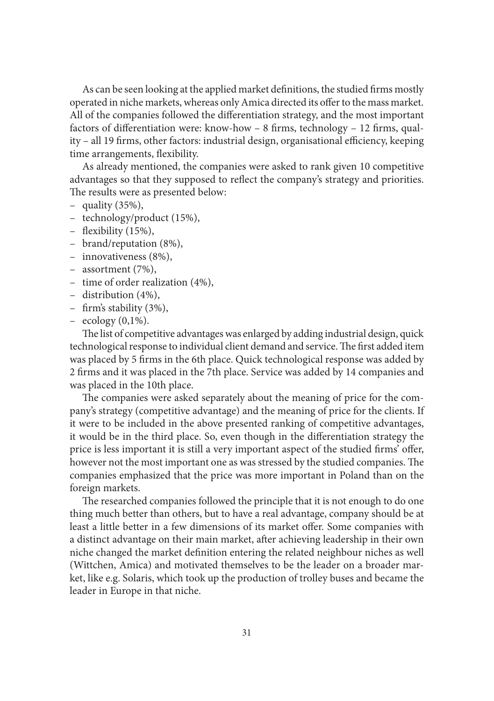As can be seen looking at the applied market definitions, the studied firms mostly operated in niche markets, whereas only Amica directed its offer to the mass market. All of the companies followed the differentiation strategy, and the most important factors of differentiation were: know-how – 8 firms, technology – 12 firms, quality – all 19 firms, other factors: industrial design, organisational efficiency, keeping time arrangements, flexibility.

As already mentioned, the companies were asked to rank given 10 competitive advantages so that they supposed to reflect the company's strategy and priorities. The results were as presented below:

- quality (35%),
- technology/product (15%),
- flexibility (15%),
- brand/reputation (8%),
- innovativeness (8%),
- assortment (7%),
- time of order realization (4%),
- distribution (4%),
- firm's stability (3%),
- $-$  ecology  $(0,1\%)$ .

The list of competitive advantages was enlarged by adding industrial design, quick technological response to individual client demand and service. The first added item was placed by 5 firms in the 6th place. Quick technological response was added by 2 firms and it was placed in the 7th place. Service was added by 14 companies and was placed in the 10th place.

The companies were asked separately about the meaning of price for the company's strategy (competitive advantage) and the meaning of price for the clients. If it were to be included in the above presented ranking of competitive advantages, it would be in the third place. So, even though in the differentiation strategy the price is less important it is still a very important aspect of the studied firms' offer, however not the most important one as was stressed by the studied companies. The companies emphasized that the price was more important in Poland than on the foreign markets.

The researched companies followed the principle that it is not enough to do one thing much better than others, but to have a real advantage, company should be at least a little better in a few dimensions of its market offer. Some companies with a distinct advantage on their main market, after achieving leadership in their own niche changed the market definition entering the related neighbour niches as well (Wittchen, Amica) and motivated themselves to be the leader on a broader market, like e.g. Solaris, which took up the production of trolley buses and became the leader in Europe in that niche.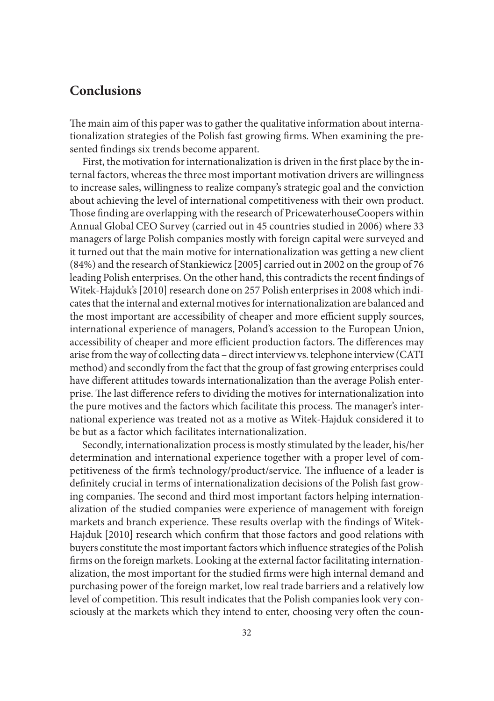# **Conclusions**

The main aim of this paper was to gather the qualitative information about internationalization strategies of the Polish fast growing firms. When examining the presented findings six trends become apparent.

First, the motivation for internationalization is driven in the first place by the internal factors, whereas the three most important motivation drivers are willingness to increase sales, willingness to realize company's strategic goal and the conviction about achieving the level of international competitiveness with their own product. Those finding are overlapping with the research of PricewaterhouseCoopers within Annual Global CEO Survey (carried out in 45 countries studied in 2006) where 33 managers of large Polish companies mostly with foreign capital were surveyed and it turned out that the main motive for internationalization was getting a new client (84%) and the research of Stankiewicz [2005] carried out in 2002 on the group of 76 leading Polish enterprises. On the other hand, this contradicts the recent findings of Witek-Hajduk's [2010] research done on 257 Polish enterprises in 2008 which indicates that the internal and external motives for internationalization are balanced and the most important are accessibility of cheaper and more efficient supply sources, international experience of managers, Poland's accession to the European Union, accessibility of cheaper and more efficient production factors. The differences may arise from the way of collecting data – direct interview vs. telephone interview (CATI method) and secondly from the fact that the group of fast growing enterprises could have different attitudes towards internationalization than the average Polish enterprise. The last difference refers to dividing the motives for internationalization into the pure motives and the factors which facilitate this process. The manager's international experience was treated not as a motive as Witek-Hajduk considered it to be but as a factor which facilitates internationalization.

Secondly, internationalization process is mostly stimulated by the leader, his/her determination and international experience together with a proper level of competitiveness of the firm's technology/product/service. The influence of a leader is definitely crucial in terms of internationalization decisions of the Polish fast growing companies. The second and third most important factors helping internationalization of the studied companies were experience of management with foreign markets and branch experience. These results overlap with the findings of Witek-Hajduk [2010] research which confirm that those factors and good relations with buyers constitute the most important factors which influence strategies of the Polish firms on the foreign markets. Looking at the external factor facilitating internationalization, the most important for the studied firms were high internal demand and purchasing power of the foreign market, low real trade barriers and a relatively low level of competition. This result indicates that the Polish companies look very consciously at the markets which they intend to enter, choosing very often the coun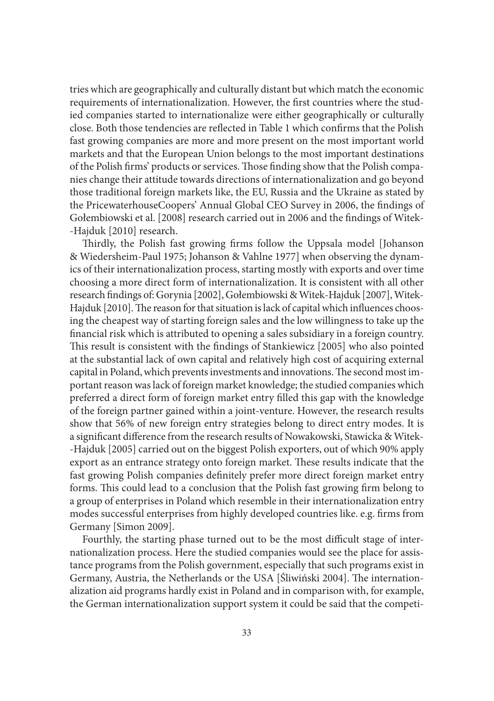tries which are geographically and culturally distant but which match the economic requirements of internationalization. However, the first countries where the studied companies started to internationalize were either geographically or culturally close. Both those tendencies are reflected in Table 1 which confirms that the Polish fast growing companies are more and more present on the most important world markets and that the European Union belongs to the most important destinations of the Polish firms' products or services. Those finding show that the Polish companies change their attitude towards directions of internationalization and go beyond those traditional foreign markets like, the EU, Russia and the Ukraine as stated by the PricewaterhouseCoopers' Annual Global CEO Survey in 2006, the findings of Gołembiowski et al. [2008] research carried out in 2006 and the findings of Witek- -Hajduk [2010] research.

Thirdly, the Polish fast growing firms follow the Uppsala model [Johanson & Wiedersheim-Paul 1975; Johanson & Vahlne 1977] when observing the dynamics of their internationalization process, starting mostly with exports and over time choosing a more direct form of internationalization. It is consistent with all other research findings of: Gorynia [2002], Gołembiowski & Witek-Hajduk [2007], Witek-Hajduk [2010]. The reason for that situation is lack of capital which influences choosing the cheapest way of starting foreign sales and the low willingness to take up the financial risk which is attributed to opening a sales subsidiary in a foreign country. This result is consistent with the findings of Stankiewicz [2005] who also pointed at the substantial lack of own capital and relatively high cost of acquiring external capital in Poland, which prevents investments and innovations. The second most important reason was lack of foreign market knowledge; the studied companies which preferred a direct form of foreign market entry filled this gap with the knowledge of the foreign partner gained within a joint-venture. However, the research results show that 56% of new foreign entry strategies belong to direct entry modes. It is a significant difference from the research results of Nowakowski, Stawicka & Witek- -Hajduk [2005] carried out on the biggest Polish exporters, out of which 90% apply export as an entrance strategy onto foreign market. These results indicate that the fast growing Polish companies definitely prefer more direct foreign market entry forms. This could lead to a conclusion that the Polish fast growing firm belong to a group of enterprises in Poland which resemble in their internationalization entry modes successful enterprises from highly developed countries like. e.g. firms from Germany [Simon 2009].

Fourthly, the starting phase turned out to be the most difficult stage of internationalization process. Here the studied companies would see the place for assistance programs from the Polish government, especially that such programs exist in Germany, Austria, the Netherlands or the USA [Śliwiński 2004]. The internationalization aid programs hardly exist in Poland and in comparison with, for example, the German internationalization support system it could be said that the competi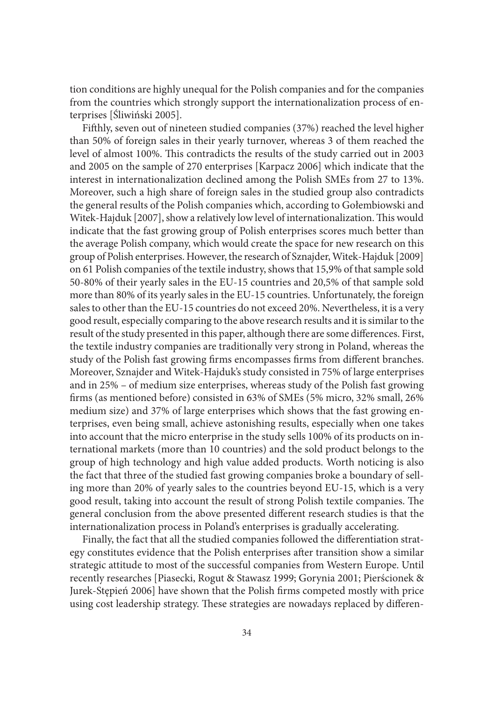tion conditions are highly unequal for the Polish companies and for the companies from the countries which strongly support the internationalization process of enterprises [Śliwiński 2005].

Fifthly, seven out of nineteen studied companies (37%) reached the level higher than 50% of foreign sales in their yearly turnover, whereas 3 of them reached the level of almost 100%. This contradicts the results of the study carried out in 2003 and 2005 on the sample of 270 enterprises [Karpacz 2006] which indicate that the interest in internationalization declined among the Polish SMEs from 27 to 13%. Moreover, such a high share of foreign sales in the studied group also contradicts the general results of the Polish companies which, according to Gołembiowski and Witek-Hajduk [2007], show a relatively low level of internationalization. This would indicate that the fast growing group of Polish enterprises scores much better than the average Polish company, which would create the space for new research on this group of Polish enterprises. However, the research of Sznajder, Witek-Hajduk [2009] on 61 Polish companies of the textile industry, shows that 15,9% of that sample sold 50-80% of their yearly sales in the EU-15 countries and 20,5% of that sample sold more than 80% of its yearly sales in the EU-15 countries. Unfortunately, the foreign sales to other than the EU-15 countries do not exceed 20%. Nevertheless, it is a very good result, especially comparing to the above research results and it is similar to the result of the study presented in this paper, although there are some differences. First, the textile industry companies are traditionally very strong in Poland, whereas the study of the Polish fast growing firms encompasses firms from different branches. Moreover, Sznajder and Witek-Hajduk's study consisted in 75% of large enterprises and in 25% – of medium size enterprises, whereas study of the Polish fast growing firms (as mentioned before) consisted in 63% of SMEs (5% micro, 32% small, 26% medium size) and 37% of large enterprises which shows that the fast growing enterprises, even being small, achieve astonishing results, especially when one takes into account that the micro enterprise in the study sells 100% of its products on international markets (more than 10 countries) and the sold product belongs to the group of high technology and high value added products. Worth noticing is also the fact that three of the studied fast growing companies broke a boundary of selling more than 20% of yearly sales to the countries beyond EU-15, which is a very good result, taking into account the result of strong Polish textile companies. The general conclusion from the above presented different research studies is that the internationalization process in Poland's enterprises is gradually accelerating.

Finally, the fact that all the studied companies followed the differentiation strategy constitutes evidence that the Polish enterprises after transition show a similar strategic attitude to most of the successful companies from Western Europe. Until recently researches [Piasecki, Rogut & Stawasz 1999; Gorynia 2001; Pierścionek & Jurek-Stępień 2006] have shown that the Polish firms competed mostly with price using cost leadership strategy. These strategies are nowadays replaced by differen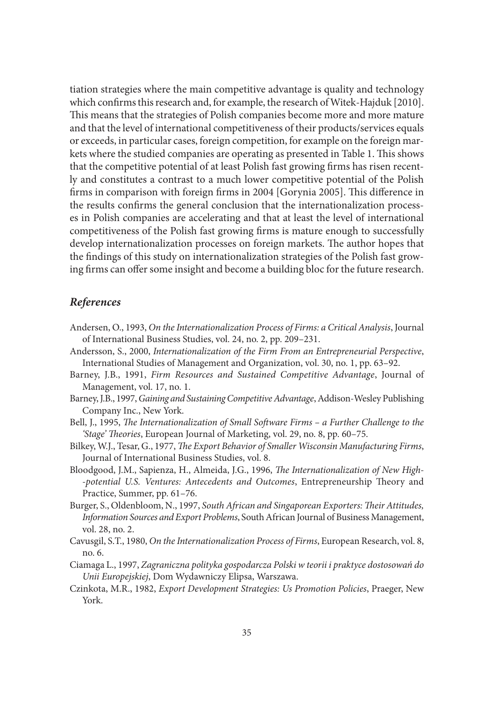tiation strategies where the main competitive advantage is quality and technology which confirms this research and, for example, the research of Witek-Hajduk [2010]. This means that the strategies of Polish companies become more and more mature and that the level of international competitiveness of their products/services equals or exceeds, in particular cases, foreign competition, for example on the foreign markets where the studied companies are operating as presented in Table 1. This shows that the competitive potential of at least Polish fast growing firms has risen recently and constitutes a contrast to a much lower competitive potential of the Polish firms in comparison with foreign firms in 2004 [Gorynia 2005]. This difference in the results confirms the general conclusion that the internationalization processes in Polish companies are accelerating and that at least the level of international competitiveness of the Polish fast growing firms is mature enough to successfully develop internationalization processes on foreign markets. The author hopes that the findings of this study on internationalization strategies of the Polish fast growing firms can offer some insight and become a building bloc for the future research.

#### *References*

- Andersen, O., 1993, *On the Internationalization Process of Firms: a Critical Analysis*, Journal of International Business Studies, vol. 24, no. 2, pp. 209–231.
- Andersson, S., 2000, *Internationalization of the Firm From an Entrepreneurial Perspective*, International Studies of Management and Organization, vol. 30, no. 1, pp. 63–92.
- Barney, J.B., 1991, *Firm Resources and Sustained Competitive Advantage*, Journal of Management, vol. 17, no. 1.
- Barney, J.B., 1997, *Gaining and Sustaining Competitive Advantage*, Addison-Wesley Publishing Company Inc., New York.
- Bell, J., 1995, *The Internationalization of Small Software Firms a Further Challenge to the 'Stage' Theories*, European Journal of Marketing, vol. 29, no. 8, pp. 60–75.
- Bilkey, W.J., Tesar, G., 1977, *The Export Behavior of Smaller Wisconsin Manufacturing Firms*, Journal of International Business Studies, vol. 8.
- Bloodgood, J.M., Sapienza, H., Almeida, J.G., 1996, *The Internationalization of New High- -potential U.S. Ventures: Antecedents and Outcomes*, Entrepreneurship Theory and Practice, Summer, pp. 61–76.
- Burger, S., Oldenbloom, N., 1997, *South African and Singaporean Exporters: Their Attitudes, Information Sources and Export Problems*, South African Journal of Business Management, vol. 28, no. 2.
- Cavusgil, S.T., 1980, *On the Internationalization Process of Firms*, European Research, vol. 8, no. 6.
- Ciamaga L., 1997, *Zagraniczna polityka gospodarcza Polski w teorii i praktyce dostosowań do Unii Europejskiej*, Dom Wydawniczy Elipsa, Warszawa.
- Czinkota, M.R., 1982, *Export Development Strategies: Us Promotion Policies*, Praeger, New York.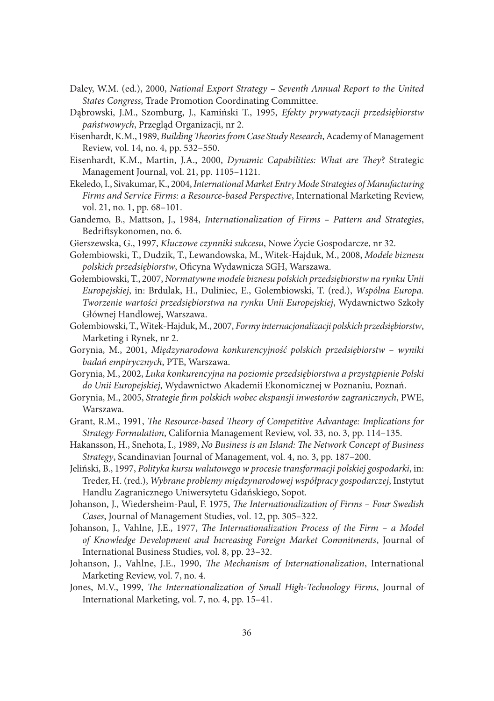- Daley, W.M. (ed.), 2000, *National Export Strategy Seventh Annual Report to the United States Congress*, Trade Promotion Coordinating Committee.
- Dąbrowski, J.M., Szomburg, J., Kamiński T., 1995, *Efekty prywatyzacji przedsiębiorstw państwowych*, Przegląd Organizacji, nr 2.
- Eisenhardt, K.M., 1989, *Building Theories from Case Study Research*, Academy of Management Review, vol. 14, no. 4, pp. 532–550.
- Eisenhardt, K.M., Martin, J.A., 2000, *Dynamic Capabilities: What are They*? Strategic Management Journal, vol. 21, pp. 1105–1121.
- Ekeledo, I., Sivakumar, K., 2004, *International Market Entry Mode Strategies of Manufacturing Firms and Service Firms: a Resource-based Perspective*, International Marketing Review, vol. 21, no. 1, pp. 68–101.
- Gandemo, B., Mattson, J., 1984, *Internationalization of Firms Pattern and Strategies*, Bedriftsykonomen, no. 6.
- Gierszewska, G., 1997, *Kluczowe czynniki sukcesu*, Nowe Życie Gospodarcze, nr 32.
- Gołembiowski, T., Dudzik, T., Lewandowska, M., Witek-Hajduk, M., 2008, *Modele biznesu polskich przedsiębiorstw*, Oficyna Wydawnicza SGH, Warszawa.
- Gołembiowski, T., 2007, *Normatywne modele biznesu polskich przedsiębiorstw na rynku Unii Europejskiej*, in: Brdulak, H., Duliniec, E., Golembiowski, T. (red.), *Wspólna Europa. Tworzenie wartości przedsiębiorstwa na rynku Unii Europejskiej*, Wydawnictwo Szkoły Głównej Handlowej, Warszawa.
- Gołembiowski, T., Witek-Hajduk, M., 2007, *Formy internacjonalizacji polskich przedsiębiorstw*, Marketing i Rynek, nr 2.
- Gorynia, M., 2001, *Międzynarodowa konkurencyjność polskich przedsiębiorstw wyniki badań empirycznych*, PTE, Warszawa.
- Gorynia, M., 2002, *Luka konkurencyjna na poziomie przedsiębiorstwa a przystąpienie Polski do Unii Europejskiej*, Wydawnictwo Akademii Ekonomicznej w Poznaniu, Poznań.
- Gorynia, M., 2005, *Strategie firm polskich wobec ekspansji inwestorów zagranicznych*, PWE, Warszawa.
- Grant, R.M., 1991, *The Resource-based Theory of Competitive Advantage: Implications for Strategy Formulation*, California Management Review, vol. 33, no. 3, pp. 114–135.
- Hakansson, H., Snehota, I., 1989, *No Business is an Island: The Network Concept of Business Strategy*, Scandinavian Journal of Management, vol. 4, no. 3, pp. 187–200.
- Jeliński, B., 1997, *Polityka kursu walutowego w procesie transformacji polskiej gospodarki*, in: Treder, H. (red.), *Wybrane problemy międzynarodowej współpracy gospodarczej*, Instytut Handlu Zagranicznego Uniwersytetu Gdańskiego, Sopot.
- Johanson, J., Wiedersheim-Paul, F. 1975, *The Internationalization of Firms Four Swedish Cases*, Journal of Management Studies, vol. 12, pp. 305–322.
- Johanson, J., Vahlne, J.E., 1977, *The Internationalization Process of the Firm a Model of Knowledge Development and Increasing Foreign Market Commitments*, Journal of International Business Studies, vol. 8, pp. 23–32.
- Johanson, J., Vahlne, J.E., 1990, *The Mechanism of Internationalization*, International Marketing Review, vol. 7, no. 4.
- Jones, M.V., 1999, *The Internationalization of Small High-Technology Firms*, Journal of International Marketing, vol. 7, no. 4, pp. 15–41.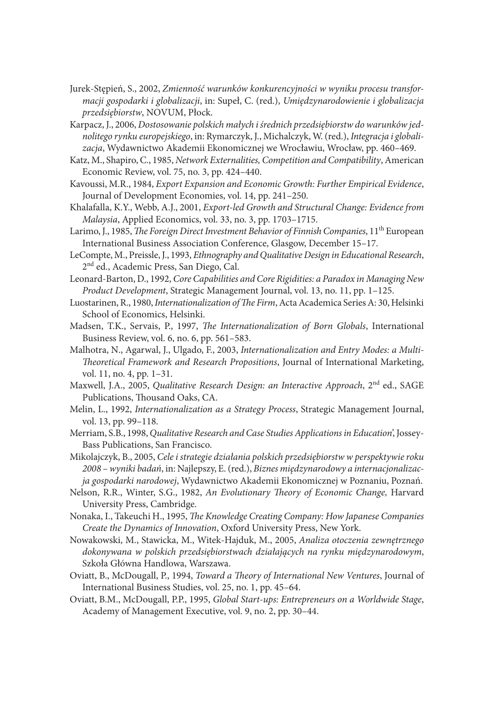- Jurek-Stępień, S., 2002, *Zmienność warunków konkurencyjności w wyniku procesu transformacji gospodarki i globalizacji*, in: Supeł, C. (red.), *Umiędzynarodowienie i globalizacja przedsiębiorstw*, NOVUM, Płock.
- Karpacz, J., 2006, *Dostosowanie polskich małych i średnich przedsiębiorstw do warunków jednolitego rynku europejskiego*, in: Rymarczyk, J., Michalczyk, W. (red.), *Integracja i globalizacja*, Wydawnictwo Akademii Ekonomicznej we Wrocławiu, Wrocław, pp. 460–469.
- Katz, M., Shapiro, C., 1985, *Network Externalities, Competition and Compatibility*, American Economic Review, vol. 75, no. 3, pp. 424–440.
- Kavoussi, M.R., 1984, *Export Expansion and Economic Growth: Further Empirical Evidence*, Journal of Development Economies, vol. 14, pp. 241–250.
- Khalafalla, K.Y., Webb, A.J., 2001, *Export-led Growth and Structural Change: Evidence from Malaysia*, Applied Economics, vol. 33, no. 3, pp. 1703–1715.
- Larimo, J., 1985, *The Foreign Direct Investment Behavior of Finnish Companies*, 11<sup>th</sup> European International Business Association Conference, Glasgow, December 15–17.
- LeCompte, M., Preissle, J., 1993, *Ethnography and Qualitative Design in Educational Research*, 2<sup>nd</sup> ed., Academic Press, San Diego, Cal.
- Leonard-Barton, D., 1992, *Core Capabilities and Core Rigidities: a Paradox in Managing New Product Development*, Strategic Management Journal, vol. 13, no. 11, pp. 1–125.
- Luostarinen, R., 1980, *Internationalization of The Firm*, Acta Academica Series A: 30, Helsinki School of Economics, Helsinki.
- Madsen, T.K., Servais, P., 1997, *The Internationalization of Born Globals*, International Business Review, vol. 6, no. 6, pp. 561–583.
- Malhotra, N., Agarwal, J., Ulgado, F., 2003, *Internationalization and Entry Modes: a Multi-Theoretical Framework and Research Propositions*, Journal of International Marketing, vol. 11, no. 4, pp. 1–31.
- Maxwell, J.A., 2005, *Qualitative Research Design: an Interactive Approach*, 2nd ed., SAGE Publications, Thousand Oaks, CA.
- Melin, L., 1992, *Internationalization as a Strategy Process*, Strategic Management Journal, vol. 13, pp. 99–118.
- Merriam, S.B., 1998, *Qualitative Research and Case Studies Applications in Education*', Jossey-Bass Publications, San Francisco.
- Mikolajczyk, B., 2005, *Cele i strategie działania polskich przedsiębiorstw w perspektywie roku 2008 – wyniki badań*, in: Najlepszy, E. (red.), *Biznes międzynarodowy a internacjonalizacja gospodarki narodowej*, Wydawnictwo Akademii Ekonomicznej w Poznaniu, Poznań.
- Nelson, R.R., Winter, S.G., 1982, *An Evolutionary Theory of Economic Change,* Harvard University Press, Cambridge.
- Nonaka, I., Takeuchi H., 1995, *The Knowledge Creating Company: How Japanese Companies Create the Dynamics of Innovation*, Oxford University Press, New York.
- Nowakowski, M., Stawicka, M., Witek-Hajduk, M., 2005, *Analiza otoczenia zewnętrznego dokonywana w polskich przedsiębiorstwach działających na rynku międzynarodowym*, Szkoła Główna Handlowa, Warszawa.
- Oviatt, B., McDougall, P., 1994, *Toward a Theory of International New Ventures*, Journal of International Business Studies, vol. 25, no. 1, pp. 45–64.
- Oviatt, B.M., McDougall, P.P., 1995, *Global Start-ups: Entrepreneurs on a Worldwide Stage*, Academy of Management Executive, vol. 9, no. 2, pp. 30–44.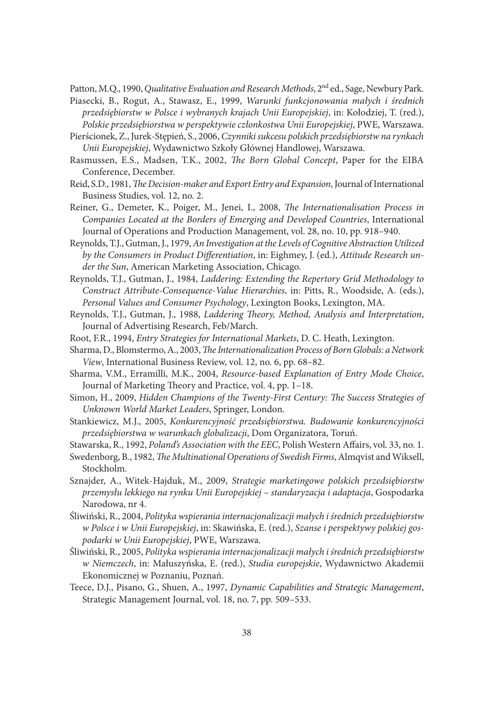Patton, M.Q., 1990, *Qualitative Evaluation and Research Methods*, 2nd ed., Sage, Newbury Park.

- Piasecki, B., Rogut, A., Stawasz, E., 1999, *Warunki funkcjonowania małych i średnich przedsiębiorstw w Polsce i wybranych krajach Unii Europejskiej*, in: Kołodziej, T. (red.), *Polskie przedsiębiorstwa w perspektywie członkostwa Unii Europejskiej*, PWE, Warszawa.
- Pierścionek, Z., Jurek-Stępień, S., 2006, *Czynniki sukcesu polskich przedsiębiorstw na rynkach Unii Europejskiej*, Wydawnictwo Szkoły Głównej Handlowej, Warszawa.
- Rasmussen, E.S., Madsen, T.K., 2002, *The Born Global Concept*, Paper for the EIBA Conference, December.
- Reid, S.D., 1981, *The Decision-maker and Export Entry and Expansion*, Journal of International Business Studies, vol. 12, no. 2.
- Reiner, G., Demeter, K., Poiger, M., Jenei, I., 2008, *The Internationalisation Process in Companies Located at the Borders of Emerging and Developed Countries*, International Journal of Operations and Production Management, vol. 28, no. 10, pp. 918–940.
- Reynolds, T.J., Gutman, J., 1979, *An Investigation at the Levels of Cognitive Abstraction Utilized by the Consumers in Product Differentiation*, in: Eighmey, J. (ed.), *Attitude Research under the Sun*, American Marketing Association, Chicago.
- Reynolds, T.J., Gutman, J., 1984, *Laddering: Extending the Repertory Grid Methodology to Construct Attribute-Consequence-Value Hierarchies*, in: Pitts, R., Woodside, A. (eds.), *Personal Values and Consumer Psychology*, Lexington Books, Lexington, MA.
- Reynolds, T.J., Gutman, J., 1988, *Laddering Theory, Method, Analysis and Interpretation*, Journal of Advertising Research, Feb/March.
- Root, F.R., 1994, *Entry Strategies for International Markets*, D. C. Heath, Lexington.
- Sharma, D., Blomstermo, A., 2003, *The Internationalization Process of Born Globals: a Network View*, International Business Review, vol. 12, no. 6, pp. 68–82.
- Sharma, V.M., Erramilli, M.K., 2004, *Resource-based Explanation of Entry Mode Choice*, Journal of Marketing Theory and Practice, vol. 4, pp. 1–18.
- Simon, H., 2009, *Hidden Champions of the Twenty-First Century: The Success Strategies of Unknown World Market Leaders*, Springer, London.
- Stankiewicz, M.J., 2005, *Konkurencyjność przedsiębiorstwa. Budowanie konkurencyjności przedsiębiorstwa w warunkach globalizacji*, Dom Organizatora, Toruń.

Stawarska, R., 1992, *Poland's Association with the EEC*, Polish Western Affairs, vol. 33, no. 1.

- Swedenborg, B., 1982, *The Multinational Operations of Swedish Firms*, Almqvist and Wiksell, Stockholm.
- Sznajder, A., Witek-Hajduk, M., 2009, *Strategie marketingowe polskich przedsiębiorstw przemysłu lekkiego na rynku Unii Europejskiej – standaryzacja i adaptacja*, Gospodarka Narodowa, nr 4.
- Śliwiński, R., 2004, *Polityka wspierania internacjonalizacji małych i średnich przedsiębiorstw w Polsce i w Unii Europejskiej*, in: Skawińska, E. (red.), *Szanse i perspektywy polskiej gospodarki w Unii Europejskiej*, PWE, Warszawa.
- Śliwiński, R., 2005, *Polityka wspierania internacjonalizacji małych i średnich przedsiębiorstw w Niemczech*, in: Małuszyńska, E. (red.), *Studia europejskie*, Wydawnictwo Akademii Ekonomicznej w Poznaniu, Poznań.
- Teece, D.J., Pisano, G., Shuen, A., 1997, *Dynamic Capabilities and Strategic Management*, Strategic Management Journal, vol. 18, no. 7, pp. 509–533.